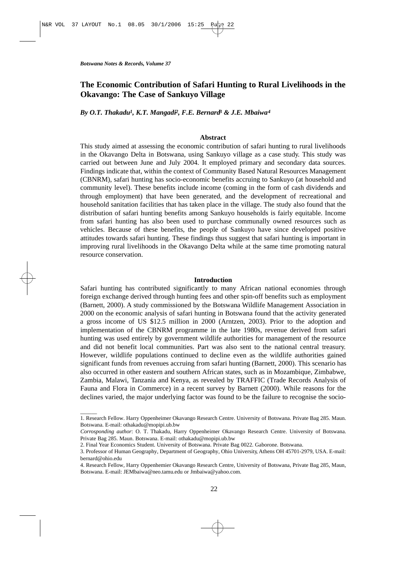$\overline{\phantom{a}}$ 

# **The Economic Contribution of Safari Hunting to Rural Livelihoods in the Okavango: The Case of Sankuyo Village**

*By O.T. Thakadu1, K.T. Mangadi2, F.E. Bernard<sup>3</sup> & J.E. Mbaiwa<sup>4</sup>*

### **Abstract**

This study aimed at assessing the economic contribution of safari hunting to rural livelihoods in the Okavango Delta in Botswana, using Sankuyo village as a case study. This study was carried out between June and July 2004. It employed primary and secondary data sources. Findings indicate that, within the context of Community Based Natural Resources Management (CBNRM), safari hunting has socio-economic benefits accruing to Sankuyo (at household and community level). These benefits include income (coming in the form of cash dividends and through employment) that have been generated, and the development of recreational and household sanitation facilities that has taken place in the village. The study also found that the distribution of safari hunting benefits among Sankuyo households is fairly equitable. Income from safari hunting has also been used to purchase communally owned resources such as vehicles. Because of these benefits, the people of Sankuyo have since developed positive attitudes towards safari hunting. These findings thus suggest that safari hunting is important in improving rural livelihoods in the Okavango Delta while at the same time promoting natural resource conservation.

# **Introduction**

Safari hunting has contributed significantly to many African national economies through foreign exchange derived through hunting fees and other spin-off benefits such as employment (Barnett, 2000). A study commissioned by the Botswana Wildlife Management Association in 2000 on the economic analysis of safari hunting in Botswana found that the activity generated a gross income of US \$12.5 million in 2000 (Arntzen, 2003). Prior to the adoption and implementation of the CBNRM programme in the late 1980s, revenue derived from safari hunting was used entirely by government wildlife authorities for management of the resource and did not benefit local communities. Part was also sent to the national central treasury. However, wildlife populations continued to decline even as the wildlife authorities gained significant funds from revenues accruing from safari hunting (Barnett, 2000). This scenario has also occurred in other eastern and southern African states, such as in Mozambique, Zimbabwe, Zambia, Malawi, Tanzania and Kenya, as revealed by TRAFFIC (Trade Records Analysis of Fauna and Flora in Commerce) in a recent survey by Barnett (2000). While reasons for the declines varied, the major underlying factor was found to be the failure to recognise the socio-

<sup>1.</sup> Research Fellow. Harry Oppenheimer Okavango Research Centre. University of Botswana. Private Bag 285. Maun. Botswana. E-mail: othakadu@mopipi.ub.bw

*Corrosponding author*: O. T. Thakadu, Harry Oppenheimer Okavango Research Centre. University of Botswana. Private Bag 285. Maun. Botswana. E-mail: othakadu@mopipi.ub.bw

<sup>2.</sup> Final Year Economics Student. University of Botswana. Private Bag 0022. Gaborone. Botswana.

<sup>3.</sup> Professor of Human Geography, Department of Geography, Ohio University, Athens OH 45701-2979, USA. E-mail: bernard@ohio.edu

<sup>4.</sup> Research Fellow, Harry Oppenhemier Okavango Research Centre, University of Botswana, Private Bag 285, Maun, Botswana. E-mail: JEMbaiwa@neo.tamu.edu or Jmbaiwa@yahoo.com.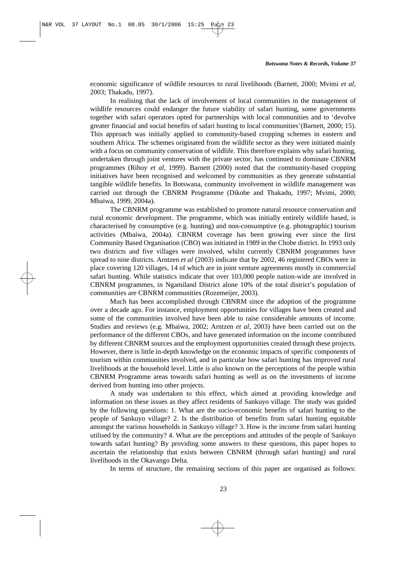economic significance of wildlife resources to rural livelihoods (Barnett, 2000; Mvimi *et al*, 2003; Thakadu, 1997).

In realising that the lack of involvement of local communities in the management of wildlife resources could endanger the future viability of safari hunting, some governments together with safari operators opted for partnerships with local communities and to 'devolve greater financial and social benefits of safari hunting to local communities'(Barnett, 2000; 15). This approach was initially applied to community-based cropping schemes in eastern and southern Africa. The schemes originated from the wildlife sector as they were initiated mainly with a focus on community conservation of wildlife. This therefore explains why safari hunting, undertaken through joint ventures with the private sector, has continued to dominate CBNRM programmes (Rihoy *et al*, 1999). Barnett (2000) noted that the community-based cropping initiatives have been recognised and welcomed by communities as they generate substantial tangible wildlife benefits. In Botswana, community involvement in wildlife management was carried out through the CBNRM Programme (Dikobe and Thakadu, 1997; Mvimi, 2000; Mbaiwa, 1999, 2004a).

The CBNRM programme was established to promote natural resource conservation and rural economic development. The programme, which was initially entirely wildlife based, is characterised by consumptive (e.g. hunting) and non-consumptive (e.g. photographic) tourism activities (Mbaiwa, 2004a). CBNRM coverage has been growing ever since the first Community Based Organisation (CBO) was initiated in 1989 in the Chobe district. In 1993 only two districts and five villages were involved, whilst currently CBNRM programmes have spread to nine districts. Arntzen *et al* (2003) indicate that by 2002, 46 registered CBOs were in place covering 120 villages, 14 of which are in joint venture agreements mostly in commercial safari hunting. While statistics indicate that over 103,000 people nation-wide are involved in CBNRM programmes, in Ngamiland District alone 10% of the total district's population of communities are CBNRM communities (Rozemeijer, 2003).

Much has been accomplished through CBNRM since the adoption of the programme over a decade ago. For instance, employment opportunities for villages have been created and some of the communities involved have been able to raise considerable amounts of income. Studies and reviews (e.g. Mbaiwa, 2002; Arntzen *et al*, 2003) have been carried out on the performance of the different CBOs, and have generated information on the income contributed by different CBNRM sources and the employment opportunities created through these projects. However, there is little in-depth knowledge on the economic impacts of specific components of tourism within communities involved, and in particular how safari hunting has improved rural livelihoods at the household level. Little is also known on the perceptions of the people within CBNRM Programme areas towards safari hunting as well as on the investments of income derived from hunting into other projects.

A study was undertaken to this effect, which aimed at providing knowledge and information on these issues as they affect residents of Sankuyo village. The study was guided by the following questions: 1. What are the socio-economic benefits of safari hunting to the people of Sankuyo village? 2. Is the distribution of benefits from safari hunting equitable amongst the various households in Sankuyo village? 3. How is the income from safari hunting utilised by the community? 4. What are the perceptions and attitudes of the people of Sankuyo towards safari hunting? By providing some answers to these questions, this paper hopes to ascertain the relationship that exists between CBNRM (through safari hunting) and rural livelihoods in the Okavango Delta.

In terms of structure, the remaining sections of this paper are organised as follows: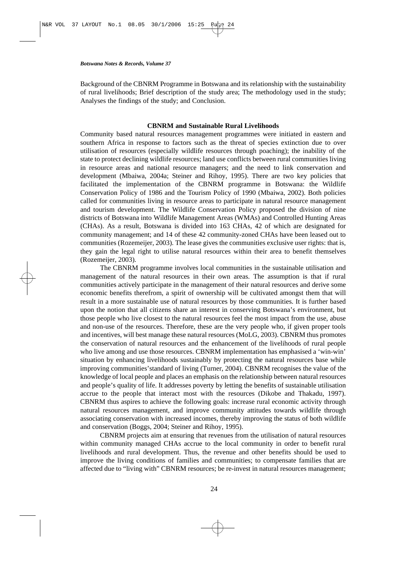Background of the CBNRM Programme in Botswana and its relationship with the sustainability of rural livelihoods; Brief description of the study area; The methodology used in the study; Analyses the findings of the study; and Conclusion.

# **CBNRM and Sustainable Rural Livelihoods**

Community based natural resources management programmes were initiated in eastern and southern Africa in response to factors such as the threat of species extinction due to over utilisation of resources (especially wildlife resources through poaching); the inability of the state to protect declining wildlife resources; land use conflicts between rural communities living in resource areas and national resource managers; and the need to link conservation and development (Mbaiwa, 2004a; Steiner and Rihoy, 1995). There are two key policies that facilitated the implementation of the CBNRM programme in Botswana: the Wildlife Conservation Policy of 1986 and the Tourism Policy of 1990 (Mbaiwa, 2002). Both policies called for communities living in resource areas to participate in natural resource management and tourism development. The Wildlife Conservation Policy proposed the division of nine districts of Botswana into Wildlife Management Areas (WMAs) and Controlled Hunting Areas (CHAs). As a result, Botswana is divided into 163 CHAs, 42 of which are designated for community management; and 14 of these 42 community-zoned CHAs have been leased out to communities (Rozemeijer, 2003). The lease gives the communities exclusive user rights: that is, they gain the legal right to utilise natural resources within their area to benefit themselves (Rozemeijer, 2003).

The CBNRM programme involves local communities in the sustainable utilisation and management of the natural resources in their own areas. The assumption is that if rural communities actively participate in the management of their natural resources and derive some economic benefits therefrom, a spirit of ownership will be cultivated amongst them that will result in a more sustainable use of natural resources by those communities. It is further based upon the notion that all citizens share an interest in conserving Botswana's environment, but those people who live closest to the natural resources feel the most impact from the use, abuse and non-use of the resources. Therefore, these are the very people who, if given proper tools and incentives, will best manage these natural resources (MoLG, 2003). CBNRM thus promotes the conservation of natural resources and the enhancement of the livelihoods of rural people who live among and use those resources. CBNRM implementation has emphasised a 'win-win' situation by enhancing livelihoods sustainably by protecting the natural resources base while improving communities'standard of living (Turner, 2004). CBNRM recognises the value of the knowledge of local people and places an emphasis on the relationship between natural resources and people's quality of life. It addresses poverty by letting the benefits of sustainable utilisation accrue to the people that interact most with the resources (Dikobe and Thakadu, 1997). CBNRM thus aspires to achieve the following goals: increase rural economic activity through natural resources management, and improve community attitudes towards wildlife through associating conservation with increased incomes, thereby improving the status of both wildlife and conservation (Boggs, 2004; Steiner and Rihoy, 1995).

CBNRM projects aim at ensuring that revenues from the utilisation of natural resources within community managed CHAs accrue to the local community in order to benefit rural livelihoods and rural development. Thus, the revenue and other benefits should be used to improve the living conditions of families and communities; to compensate families that are affected due to "living with" CBNRM resources; be re-invest in natural resources management;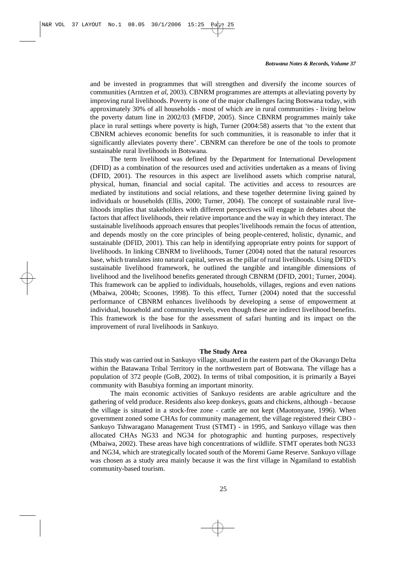and be invested in programmes that will strengthen and diversify the income sources of communities (Arntzen *et al*, 2003). CBNRM programmes are attempts at alleviating poverty by improving rural livelihoods. Poverty is one of the major challenges facing Botswana today, with approximately 30% of all households - most of which are in rural communities - living below the poverty datum line in 2002/03 (MFDP, 2005). Since CBNRM programmes mainly take place in rural settings where poverty is high, Turner (2004:58) asserts that 'to the extent that CBNRM achieves economic benefits for such communities, it is reasonable to infer that it significantly alleviates poverty there'. CBNRM can therefore be one of the tools to promote sustainable rural livelihoods in Botswana.

The term livelihood was defined by the Department for International Development (DFID) as a combination of the resources used and activities undertaken as a means of living (DFID, 2001). The resources in this aspect are livelihood assets which comprise natural, physical, human, financial and social capital. The activities and access to resources are mediated by institutions and social relations, and these together determine living gained by individuals or households (Ellis, 2000; Turner, 2004). The concept of sustainable rural livelihoods implies that stakeholders with different perspectives will engage in debates about the factors that affect livelihoods, their relative importance and the way in which they interact. The sustainable livelihoods approach ensures that peoples'livelihoods remain the focus of attention, and depends mostly on the core principles of being people-centered, holistic, dynamic, and sustainable (DFID, 2001). This can help in identifying appropriate entry points for support of livelihoods. In linking CBNRM to livelihoods, Turner (2004) noted that the natural resources base, which translates into natural capital, serves as the pillar of rural livelihoods. Using DFID's sustainable livelihood framework, he outlined the tangible and intangible dimensions of livelihood and the livelihood benefits generated through CBNRM (DFID, 2001; Turner, 2004). This framework can be applied to individuals, households, villages, regions and even nations (Mbaiwa, 2004b; Scoones, 1998). To this effect, Turner (2004) noted that the successful performance of CBNRM enhances livelihoods by developing a sense of empowerment at individual, household and community levels, even though these are indirect livelihood benefits. This framework is the base for the assessment of safari hunting and its impact on the improvement of rural livelihoods in Sankuyo.

### **The Study Area**

This study was carried out in Sankuyo village, situated in the eastern part of the Okavango Delta within the Batawana Tribal Territory in the northwestern part of Botswana. The village has a population of 372 people (GoB, 2002). In terms of tribal composition, it is primarily a Bayei community with Basubiya forming an important minority.

The main economic activities of Sankuyo residents are arable agriculture and the gathering of veld produce. Residents also keep donkeys, goats and chickens, although - because the village is situated in a stock-free zone - cattle are not kept (Maotonyane, 1996). When government zoned some CHAs for community management, the village registered their CBO - Sankuyo Tshwaragano Management Trust (STMT) - in 1995, and Sankuyo village was then allocated CHAs NG33 and NG34 for photographic and hunting purposes, respectively (Mbaiwa, 2002). These areas have high concentrations of wildlife. STMT operates both NG33 and NG34, which are strategically located south of the Moremi Game Reserve. Sankuyo village was chosen as a study area mainly because it was the first village in Ngamiland to establish community-based tourism.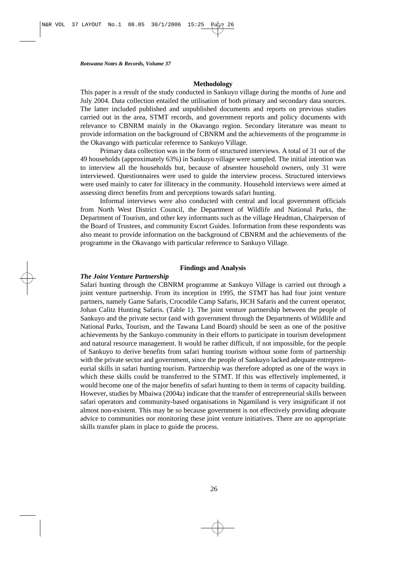# **Methodology**

This paper is a result of the study conducted in Sankuyo village during the months of June and July 2004. Data collection entailed the utilisation of both primary and secondary data sources. The latter included published and unpublished documents and reports on previous studies carried out in the area, STMT records, and government reports and policy documents with relevance to CBNRM mainly in the Okavango region. Secondary literature was meant to provide information on the background of CBNRM and the achievements of the programme in the Okavango with particular reference to Sankuyo Village.

Primary data collection was in the form of structured interviews. A total of 31 out of the 49 households (approximately 63%) in Sankuyo village were sampled. The initial intention was to interview all the households but, because of absentee household owners, only 31 were interviewed. Questionnaires were used to guide the interview process. Structured interviews were used mainly to cater for illiteracy in the community. Household interviews were aimed at assessing direct benefits from and perceptions towards safari hunting.

Informal interviews were also conducted with central and local government officials from North West District Council, the Department of Wildlife and National Parks, the Department of Tourism, and other key informants such as the village Headman, Chairperson of the Board of Trustees, and community Escort Guides. Information from these respondents was also meant to provide information on the background of CBNRM and the achievements of the programme in the Okavango with particular reference to Sankuyo Village.

### **Findings and Analysis**

# *The Joint Venture Partnership*

Safari hunting through the CBNRM programme at Sankuyo Village is carried out through a joint venture partnership. From its inception in 1995, the STMT has had four joint venture partners, namely Game Safaris, Crocodile Camp Safaris, HCH Safaris and the current operator, Johan Calitz Hunting Safaris. (Table 1). The joint venture partnership between the people of Sankuyo and the private sector (and with government through the Departments of Wildlife and National Parks, Tourism, and the Tawana Land Board) should be seen as one of the positive achievements by the Sankuyo community in their efforts to participate in tourism development and natural resource management. It would be rather difficult, if not impossible, for the people of Sankuyo to derive benefits from safari hunting tourism without some form of partnership with the private sector and government, since the people of Sankuyo lacked adequate entrepreneurial skills in safari hunting tourism. Partnership was therefore adopted as one of the ways in which these skills could be transferred to the STMT. If this was effectively implemented, it would become one of the major benefits of safari hunting to them in terms of capacity building. However, studies by Mbaiwa (2004a) indicate that the transfer of entrepreneurial skills between safari operators and community-based organisations in Ngamiland is very insignificant if not almost non-existent. This may be so because government is not effectively providing adequate advice to communities nor monitoring these joint venture initiatives. There are no appropriate skills transfer plans in place to guide the process.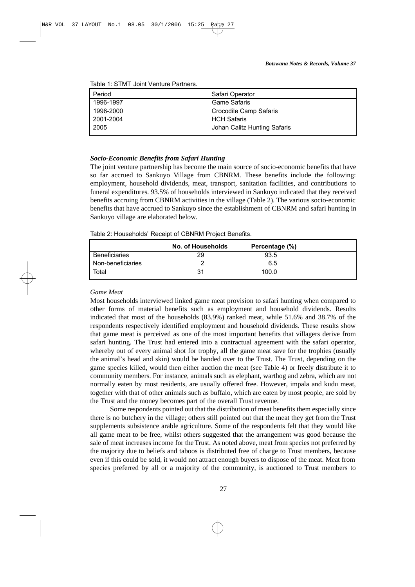| l Period  | Safari Operator              |
|-----------|------------------------------|
| 1996-1997 | <b>Game Safaris</b>          |
| 1998-2000 | Crocodile Camp Safaris       |
| 2001-2004 | <b>HCH Safaris</b>           |
| 2005      | Johan Calitz Hunting Safaris |

Table 1: STMT Joint Venture Partners.

### *Socio-Economic Benefits from Safari Hunting*

The joint venture partnership has become the main source of socio-economic benefits that have so far accrued to Sankuyo Village from CBNRM. These benefits include the following: employment, household dividends, meat, transport, sanitation facilities, and contributions to funeral expenditures. 93.5% of households interviewed in Sankuyo indicated that they received benefits accruing from CBNRM activities in the village (Table 2). The various socio-economic benefits that have accrued to Sankuyo since the establishment of CBNRM and safari hunting in Sankuyo village are elaborated below.

Table 2: Households' Receipt of CBNRM Project Benefits.

|                      | No. of Households | Percentage (%) |  |
|----------------------|-------------------|----------------|--|
| <b>Beneficiaries</b> | 29                | 93.5           |  |
| Non-beneficiaries    |                   | 6.5            |  |
| Total                | 31                | 100.0          |  |

### *Game Meat*

Most households interviewed linked game meat provision to safari hunting when compared to other forms of material benefits such as employment and household dividends. Results indicated that most of the households (83.9%) ranked meat, while 51.6% and 38.7% of the respondents respectively identified employment and household dividends. These results show that game meat is perceived as one of the most important benefits that villagers derive from safari hunting. The Trust had entered into a contractual agreement with the safari operator, whereby out of every animal shot for trophy, all the game meat save for the trophies (usually the animal's head and skin) would be handed over to the Trust. The Trust, depending on the game species killed, would then either auction the meat (see Table 4) or freely distribute it to community members. For instance, animals such as elephant, warthog and zebra, which are not normally eaten by most residents, are usually offered free. However, impala and kudu meat, together with that of other animals such as buffalo, which are eaten by most people, are sold by the Trust and the money becomes part of the overall Trust revenue.

Some respondents pointed out that the distribution of meat benefits them especially since there is no butchery in the village; others still pointed out that the meat they get from the Trust supplements subsistence arable agriculture. Some of the respondents felt that they would like all game meat to be free, whilst others suggested that the arrangement was good because the sale of meat increases income for the Trust. As noted above, meat from species not preferred by the majority due to beliefs and taboos is distributed free of charge to Trust members, because even if this could be sold, it would not attract enough buyers to dispose of the meat. Meat from species preferred by all or a majority of the community, is auctioned to Trust members to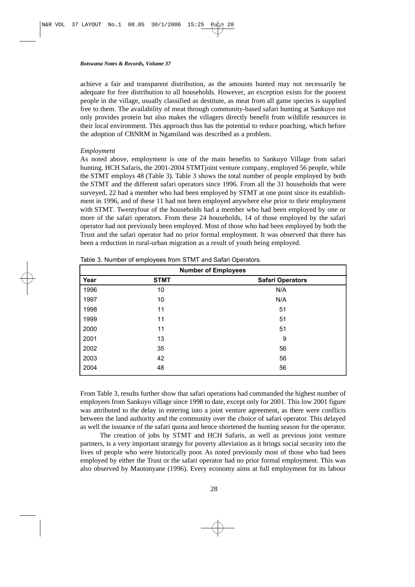achieve a fair and transparent distribution, as the amounts hunted may not necessarily be adequate for free distribution to all households. However, an exception exists for the poorest people in the village, usually classified as destitute, as meat from all game species is supplied free to them. The availability of meat through community-based safari hunting at Sankuyo not only provides protein but also makes the villagers directly benefit from wildlife resources in their local environment. This approach thus has the potential to reduce poaching, which before the adoption of CBNRM in Ngamiland was described as a problem.

# *Employment*

As noted above, employment is one of the main benefits to Sankuyo Village from safari hunting. HCH Safaris, the 2001-2004 STMT joint venture company, employed 56 people, while the STMT employs 48 (Table 3). Table 3 shows the total number of people employed by both the STMT and the different safari operators since 1996. From all the 31 households that were surveyed, 22 had a member who had been employed by STMT at one point since its establishment in 1996, and of these 11 had not been employed anywhere else prior to their employment with STMT. Twentyfour of the households had a member who had been employed by one or more of the safari operators. From these 24 households, 14 of those employed by the safari operator had not previously been employed. Most of those who had been employed by both the Trust and the safari operator had no prior formal employment. It was observed that there has been a reduction in rural-urban migration as a result of youth being employed.

| <b>Number of Employees</b> |             |                         |  |  |  |
|----------------------------|-------------|-------------------------|--|--|--|
| Year                       | <b>STMT</b> | <b>Safari Operators</b> |  |  |  |
| 1996                       | 10          | N/A                     |  |  |  |
| 1997                       | 10          | N/A                     |  |  |  |
| 1998                       | 11          | 51                      |  |  |  |
| 1999                       | 11          | 51                      |  |  |  |
| 2000                       | 11          | 51                      |  |  |  |
| 2001                       | 13          | 9                       |  |  |  |
| 2002                       | 35          | 56                      |  |  |  |
| 2003                       | 42          | 56                      |  |  |  |
| 2004                       | 48          | 56                      |  |  |  |

Table 3. Number of employees from STMT and Safari Operators.

From Table 3, results further show that safari operations had commanded the highest number of employees from Sankuyo village since 1998 to date, except only for 2001. This low 2001 figure was attributed to the delay in entering into a joint venture agreement, as there were conflicts between the land authority and the community over the choice of safari operator. This delayed as well the issuance of the safari quota and hence shortened the hunting season for the operator.

The creation of jobs by STMT and HCH Safaris, as well as previous joint venture partners, is a very important strategy for poverty alleviation as it brings social security into the lives of people who were historically poor. As noted previously most of those who had been employed by either the Trust or the safari operator had no prior formal employment. This was also observed by Maotonyane (1996). Every economy aims at full employment for its labour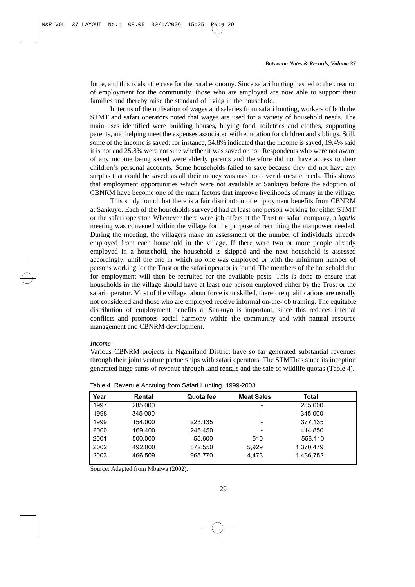force, and this is also the case for the rural economy. Since safari hunting has led to the creation of employment for the community, those who are employed are now able to support their families and thereby raise the standard of living in the household.

In terms of the utilisation of wages and salaries from safari hunting, workers of both the STMT and safari operators noted that wages are used for a variety of household needs. The main uses identified were building houses, buying food, toiletries and clothes, supporting parents, and helping meet the expenses associated with education for children and siblings. Still, some of the income is saved: for instance, 54.8% indicated that the income is saved, 19.4% said it is not and 25.8% were not sure whether it was saved or not. Respondents who were not aware of any income being saved were elderly parents and therefore did not have access to their children's personal accounts. Some households failed to save because they did not have any surplus that could be saved, as all their money was used to cover domestic needs. This shows that employment opportunities which were not available at Sankuyo before the adoption of CBNRM have become one of the main factors that improve livelihoods of many in the village.

This study found that there is a fair distribution of employment benefits from CBNRM at Sankuyo. Each of the households surveyed had at least one person working for either STMT or the safari operator. Whenever there were job offers at the Trust or safari company, a *kgotla* meeting was convened within the village for the purpose of recruiting the manpower needed. During the meeting, the villagers make an assessment of the number of individuals already employed from each household in the village. If there were two or more people already employed in a household, the household is skipped and the next household is assessed accordingly, until the one in which no one was employed or with the minimum number of persons working for the Trust or the safari operator is found. The members of the household due for employment will then be recruited for the available posts. This is done to ensure that households in the village should have at least one person employed either by the Trust or the safari operator. Most of the village labour force is unskilled, therefore qualifications are usually not considered and those who are employed receive informal on-the-job training. The equitable distribution of employment benefits at Sankuyo is important, since this reduces internal conflicts and promotes social harmony within the community and with natural resource management and CBNRM development.

#### *Income*

Various CBNRM projects in Ngamiland District have so far generated substantial revenues through their joint venture partnerships with safari operators. The STMThas since its inception generated huge sums of revenue through land rentals and the sale of wildlife quotas (Table 4).

| Year | Rental  | Quota fee | <b>Meat Sales</b>  | <b>Total</b> |  |
|------|---------|-----------|--------------------|--------------|--|
| 1997 | 285 000 |           | -                  | 285 000      |  |
| 1998 | 345 000 |           |                    |              |  |
| 1999 | 154.000 | 223,135   |                    | 377,135      |  |
| 2000 | 169.400 | 245.450   | -                  | 414.850      |  |
| 2001 | 500.000 | 55,600    | 510                |              |  |
| 2002 | 492,000 | 872,550   | 1,370,479<br>5,929 |              |  |
| 2003 | 466,509 | 965,770   | 4,473<br>1,436,752 |              |  |

Table 4. Revenue Accruing from Safari Hunting, 1999-2003.

Source: Adapted from Mbaiwa (2002).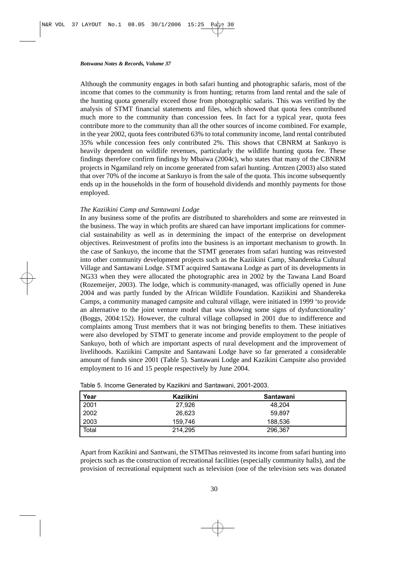Although the community engages in both safari hunting and photographic safaris, most of the income that comes to the community is from hunting; returns from land rental and the sale of the hunting quota generally exceed those from photographic safaris. This was verified by the analysis of STMT financial statements and files, which showed that quota fees contributed much more to the community than concession fees. In fact for a typical year, quota fees contribute more to the community than all the other sources of income combined. For example, in the year 2002, quota fees contributed 63% to total community income, land rental contributed 35% while concession fees only contributed 2%. This shows that CBNRM at Sankuyo is heavily dependent on wildlife revenues, particularly the wildlife hunting quota fee. These findings therefore confirm findings by Mbaiwa (2004c), who states that many of the CBNRM projects in Ngamiland rely on income generated from safari hunting. Arntzen (2003) also stated that over 70% of the income at Sankuyo is from the sale of the quota. This income subsequently ends up in the households in the form of household dividends and monthly payments for those employed.

# *The Kaziikini Camp and Santawani Lodge*

In any business some of the profits are distributed to shareholders and some are reinvested in the business. The way in which profits are shared can have important implications for commercial sustainability as well as in determining the impact of the enterprise on development objectives. Reinvestment of profits into the business is an important mechanism to growth. In the case of Sankuyo, the income that the STMT generates from safari hunting was reinvested into other community development projects such as the Kaziikini Camp, Shandereka Cultural Village and Santawani Lodge. STMT acquired Santawana Lodge as part of its developments in NG33 when they were allocated the photographic area in 2002 by the Tawana Land Board (Rozemeijer, 2003). The lodge, which is community-managed, was officially opened in June 2004 and was partly funded by the African Wildlife Foundation. Kaziikini and Shandereka Camps, a community managed campsite and cultural village, were initiated in 1999 'to provide an alternative to the joint venture model that was showing some signs of dysfunctionality' (Boggs, 2004:152). However, the cultural village collapsed in 2001 due to indifference and complaints among Trust members that it was not bringing benefits to them. These initiatives were also developed by STMT to generate income and provide employment to the people of Sankuyo, both of which are important aspects of rural development and the improvement of livelihoods. Kaziikini Campsite and Santawani Lodge have so far generated a considerable amount of funds since 2001 (Table 5). Santawani Lodge and Kazikini Campsite also provided employment to 16 and 15 people respectively by June 2004.

| Year  | Kaziikini | Santawani |  |
|-------|-----------|-----------|--|
| 2001  | 27.926    | 48.204    |  |
| 2002  | 26,623    | 59,897    |  |
| 2003  | 159.746   | 188,536   |  |
| Total | 214.295   | 296,367   |  |

Table 5. Income Generated by Kaziikini and Santawani, 2001-2003.

Apart from Kazikini and Santwani, the STMThas reinvested its income from safari hunting into projects such as the construction of recreational facilities (especially community halls), and the provision of recreational equipment such as television (one of the television sets was donated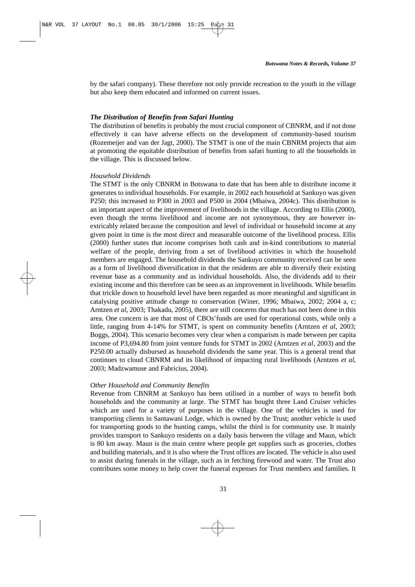by the safari company). These therefore not only provide recreation to the youth in the village but also keep them educated and informed on current issues.

# *The Distribution of Benefits from Safari Hunting*

The distribution of benefits is probably the most crucial component of CBNRM, and if not done effectively it can have adverse effects on the development of community-based tourism (Rozemeijer and van der Jagt, 2000). The STMT is one of the main CBNRM projects that aim at promoting the equitable distribution of benefits from safari hunting to all the households in the village. This is discussed below.

#### *Household Dividends*

The STMT is the only CBNRM in Botswana to date that has been able to distribute income it generates to individual households. For example, in 2002 each household at Sankuyo was given P250; this increased to P300 in 2003 and P500 in 2004 (Mbaiwa, 2004c). This distribution is an important aspect of the improvement of livelihoods in the village. According to Ellis (2000), even though the terms livelihood and income are not synonymous, they are however inextricably related because the composition and level of individual or household income at any given point in time is the most direct and measurable outcome of the livelihood process. Ellis (2000) further states that income comprises both cash and in-kind contributions to material welfare of the people, deriving from a set of livelihood activities in which the household members are engaged. The household dividends the Sankuyo community received can be seen as a form of livelihood diversification in that the residents are able to diversify their existing revenue base as a community and as individual households. Also, the dividends add to their existing income and this therefore can be seen as an improvement in livelihoods. While benefits that trickle down to household level have been regarded as more meaningful and significant in catalysing positive attitude change to conservation (Winer, 1996; Mbaiwa, 2002; 2004 a, c; Arntzen *et al*, 2003; Thakadu, 2005), there are still concerns that much has not been done in this area. One concern is are that most of CBOs'funds are used for operational costs, while only a little, ranging from 4-14% for STMT, is spent on community benefits (Arntzen *et al*, 2003; Boggs, 2004). This scenario becomes very clear when a comparism is made between per capita income of P3,694.80 from joint venture funds for STMT in 2002 (Arntzen *et al*, 2003) and the P250.00 actually disbursed as household dividends the same year. This is a general trend that continues to cloud CBNRM and its likelihood of impacting rural livelihoods (Arntzen *et al*, 2003; Madzwamuse and Fabricius, 2004).

# *Other Household and Community Benefits*

Revenue from CBNRM at Sankuyo has been utilised in a number of ways to benefit both households and the community at large. The STMT has bought three Land Cruiser vehicles which are used for a variety of purposes in the village. One of the vehicles is used for transporting clients in Santawani Lodge, which is owned by the Trust; another vehicle is used for transporting goods to the hunting camps, whilst the third is for community use. It mainly provides transport to Sankuyo residents on a daily basis between the village and Maun, which is 80 km away. Maun is the main centre where people get supplies such as groceries, clothes and building materials, and it is also where the Trust offices are located. The vehicle is also used to assist during funerals in the village, such as in fetching firewood and water. The Trust also contributes some money to help cover the funeral expenses for Trust members and families. It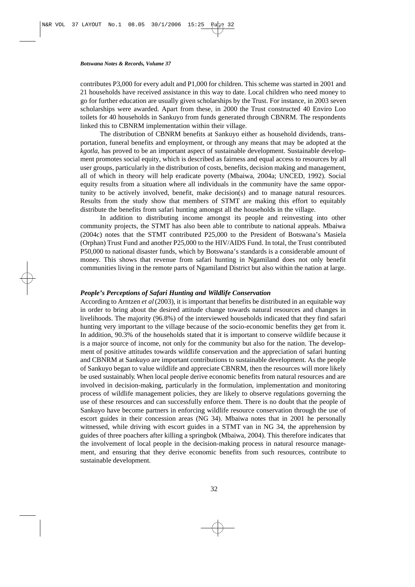contributes P3,000 for every adult and P1,000 for children. This scheme was started in 2001 and 21 households have received assistance in this way to date. Local children who need money to go for further education are usually given scholarships by the Trust. For instance, in 2003 seven scholarships were awarded. Apart from these, in 2000 the Trust constructed 40 Enviro Loo toilets for 40 households in Sankuyo from funds generated through CBNRM. The respondents linked this to CBNRM implementation within their village.

The distribution of CBNRM benefits at Sankuyo either as household dividends, transportation, funeral benefits and employment, or through any means that may be adopted at the *kgotla*, has proved to be an important aspect of sustainable development. Sustainable development promotes social equity, which is described as fairness and equal access to resources by all user groups, particularly in the distribution of costs, benefits, decision making and management, all of which in theory will help eradicate poverty (Mbaiwa, 2004a; UNCED, 1992). Social equity results from a situation where all individuals in the community have the same opportunity to be actively involved, benefit, make decision(s) and to manage natural resources. Results from the study show that members of STMT are making this effort to equitably distribute the benefits from safari hunting amongst all the households in the village.

In addition to distributing income amongst its people and reinvesting into other community projects, the STMT has also been able to contribute to national appeals. Mbaiwa (2004c) notes that the STMT contributed P25,000 to the President of Botswana's Masiela (Orphan) Trust Fund and another P25,000 to the HIV/AIDS Fund. In total, the Trust contributed P50,000 to national disaster funds, which by Botswana's standards is a considerable amount of money. This shows that revenue from safari hunting in Ngamiland does not only benefit communities living in the remote parts of Ngamiland District but also within the nation at large.

### *People's Perceptions of Safari Hunting and Wildlife Conservation*

According to Arntzen *et al*(2003), it is important that benefits be distributed in an equitable way in order to bring about the desired attitude change towards natural resources and changes in livelihoods. The majority (96.8%) of the interviewed households indicated that they find safari hunting very important to the village because of the socio-economic benefits they get from it. In addition, 90.3% of the households stated that it is important to conserve wildlife because it is a major source of income, not only for the community but also for the nation. The development of positive attitudes towards wildlife conservation and the appreciation of safari hunting and CBNRM at Sankuyo are important contributions to sustainable development. As the people of Sankuyo began to value wildlife and appreciate CBNRM, then the resources will more likely be used sustainably. When local people derive economic benefits from natural resources and are involved in decision-making, particularly in the formulation, implementation and monitoring process of wildlife management policies, they are likely to observe regulations governing the use of these resources and can successfully enforce them. There is no doubt that the people of Sankuyo have become partners in enforcing wildlife resource conservation through the use of escort guides in their concession areas (NG 34). Mbaiwa notes that in 2001 he personally witnessed, while driving with escort guides in a STMT van in NG 34, the apprehension by guides of three poachers after killing a springbok (Mbaiwa, 2004). This therefore indicates that the involvement of local people in the decision-making process in natural resource management, and ensuring that they derive economic benefits from such resources, contribute to sustainable development.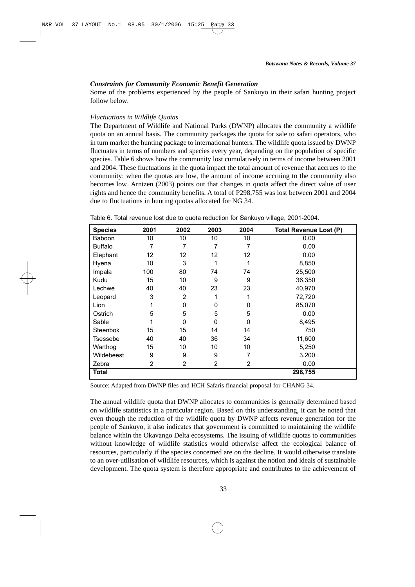# *Constraints for Community Economic Benefit Generation*

Some of the problems experienced by the people of Sankuyo in their safari hunting project follow below.

# *Fluctuations in Wildlife Quotas*

The Department of Wildlife and National Parks (DWNP) allocates the community a wildlife quota on an annual basis. The community packages the quota for sale to safari operators, who in turn market the hunting package to international hunters. The wildlife quota issued by DWNP fluctuates in terms of numbers and species every year, depending on the population of specific species. Table 6 shows how the community lost cumulatively in terms of income between 2001 and 2004. These fluctuations in the quota impact the total amount of revenue that accrues to the community: when the quotas are low, the amount of income accruing to the community also becomes low. Arntzen (2003) points out that changes in quota affect the direct value of user rights and hence the community benefits. A total of P298,755 was lost between 2001 and 2004 due to fluctuations in hunting quotas allocated for NG 34.

|  |  | Table 6. Total revenue lost due to quota reduction for Sankuyo village, 2001-2004. |
|--|--|------------------------------------------------------------------------------------|
|  |  |                                                                                    |

| <b>Species</b> | 2001 | 2002           | 2003           | 2004           | <b>Total Revenue Lost (P)</b> |
|----------------|------|----------------|----------------|----------------|-------------------------------|
| Baboon         | 10   | 10             | 10             | 10             | 0.00                          |
| <b>Buffalo</b> | 7    | 7              | 7              | 7              | 0.00                          |
| Elephant       | 12   | 12             | 12             | 12             | 0.00                          |
| Hyena          | 10   | 3              | 1              | 1              | 8,850                         |
| Impala         | 100  | 80             | 74             | 74             | 25,500                        |
| Kudu           | 15   | 10             | 9              | 9              | 36,350                        |
| Lechwe         | 40   | 40             | 23             | 23             | 40,970                        |
| Leopard        | 3    | 2              |                |                | 72,720                        |
| Lion           |      | 0              | 0              | 0              | 85,070                        |
| Ostrich        | 5    | 5              | 5              | 5              | 0.00                          |
| Sable          |      | $\mathbf 0$    | $\Omega$       | 0              | 8,495                         |
| Steenbok       | 15   | 15             | 14             | 14             | 750                           |
| Tsessebe       | 40   | 40             | 36             | 34             | 11,600                        |
| Warthog        | 15   | 10             | 10             | 10             | 5,250                         |
| Wildebeest     | 9    | 9              | 9              | 7              | 3,200                         |
| Zebra          | 2    | $\overline{2}$ | $\overline{2}$ | $\overline{2}$ | 0.00                          |
| <b>Total</b>   |      |                |                |                | 298,755                       |

Source: Adapted from DWNP files and HCH Safaris financial proposal for CHANG 34.

The annual wildlife quota that DWNP allocates to communities is generally determined based on wildlife statitistics in a particular region. Based on this understanding, it can be noted that even though the reduction of the wildlife quota by DWNP affects revenue generation for the people of Sankuyo, it also indicates that government is committed to maintaining the wildlife balance within the Okavango Delta ecosystems. The issuing of wildlife quotas to communities without knowledge of wildlife statistics would otherwise affect the ecological balance of resources, particularly if the species concerned are on the decline. It would otherwise translate to an over-utilisation of wildlife resources, which is against the notion and ideals of sustainable development. The quota system is therefore appropriate and contributes to the achievement of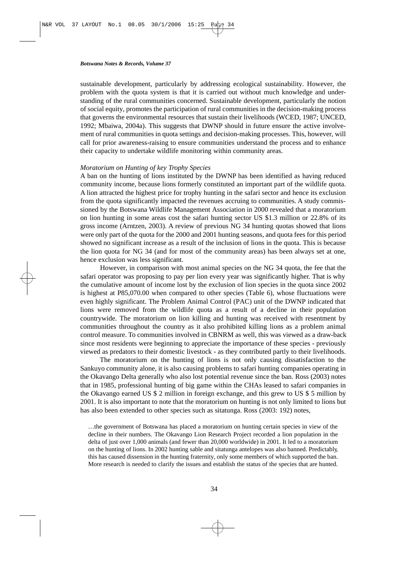sustainable development, particularly by addressing ecological sustainability. However, the problem with the quota system is that it is carried out without much knowledge and understanding of the rural communities concerned. Sustainable development, particularly the notion of social equity, promotes the participation of rural communities in the decision-making process that governs the environmental resources that sustain their livelihoods (WCED, 1987; UNCED, 1992; Mbaiwa, 2004a). This suggests that DWNP should in future ensure the active involvement of rural communities in quota settings and decision-making processes. This, however, will call for prior awareness-raising to ensure communities understand the process and to enhance their capacity to undertake wildlife monitoring within community areas.

### *Moratorium on Hunting of key Trophy Species*

A ban on the hunting of lions instituted by the DWNP has been identified as having reduced community income, because lions formerly constituted an important part of the wildlife quota. A lion attracted the highest price for trophy hunting in the safari sector and hence its exclusion from the quota significantly impacted the revenues accruing to communities. A study commissioned by the Botswana Wildlife Management Association in 2000 revealed that a moratorium on lion hunting in some areas cost the safari hunting sector US \$1.3 million or 22.8% of its gross income (Arntzen, 2003). A review of previous NG 34 hunting quotas showed that lions were only part of the quota for the 2000 and 2001 hunting seasons, and quota fees for this period showed no significant increase as a result of the inclusion of lions in the quota. This is because the lion quota for NG 34 (and for most of the community areas) has been always set at one, hence exclusion was less significant.

However, in comparison with most animal species on the NG 34 quota, the fee that the safari operator was proposing to pay per lion every year was significantly higher. That is why the cumulative amount of income lost by the exclusion of lion species in the quota since 2002 is highest at P85,070.00 when compared to other species (Table 6), whose fluctuations were even highly significant. The Problem Animal Control (PAC) unit of the DWNP indicated that lions were removed from the wildlife quota as a result of a decline in their population countrywide. The moratorium on lion killing and hunting was received with resentment by communities throughout the country as it also prohibited killing lions as a problem animal control measure. To communities involved in CBNRM as well, this was viewed as a draw-back since most residents were beginning to appreciate the importance of these species - previously viewed as predators to their domestic livestock - as they contributed partly to their livelihoods.

The moratorium on the hunting of lions is not only causing dissatisfaction to the Sankuyo community alone, it is also causing problems to safari hunting companies operating in the Okavango Delta generally who also lost potential revenue since the ban. Ross (2003) notes that in 1985, professional hunting of big game within the CHAs leased to safari companies in the Okavango earned US \$ 2 million in foreign exchange, and this grew to US \$ 5 million by 2001. It is also important to note that the moratorium on hunting is not only limited to lions but has also been extended to other species such as sitatunga. Ross (2003: 192) notes,

…the government of Botswana has placed a moratorium on hunting certain species in view of the decline in their numbers. The Okavango Lion Research Project recorded a lion population in the delta of just over 1,000 animals (and fewer than 20,000 worldwide) in 2001. It led to a moratorium on the hunting of lions. In 2002 hunting sable and sitatunga antelopes was also banned. Predictably, this has caused dissension in the hunting fraternity, only some members of which supported the ban. More research is needed to clarify the issues and establish the status of the species that are hunted.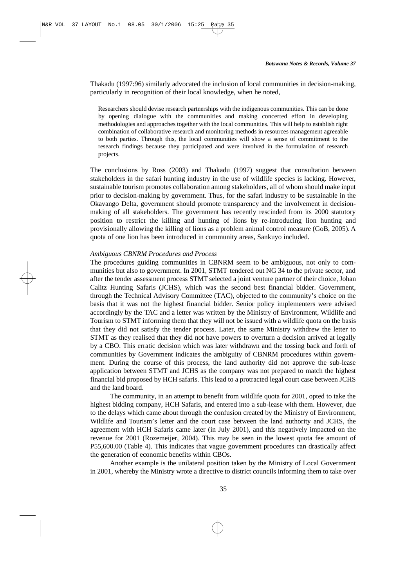Thakadu (1997:96) similarly advocated the inclusion of local communities in decision-making, particularly in recognition of their local knowledge, when he noted,

Researchers should devise research partnerships with the indigenous communities. This can be done by opening dialogue with the communities and making concerted effort in developing methodologies and approaches together with the local communities. This will help to establish right combination of collaborative research and monitoring methods in resources management agreeable to both parties. Through this, the local communities will show a sense of commitment to the research findings because they participated and were involved in the formulation of research projects.

The conclusions by Ross (2003) and Thakadu (1997) suggest that consultation between stakeholders in the safari hunting industry in the use of wildlife species is lacking. However, sustainable tourism promotes collaboration among stakeholders, all of whom should make input prior to decision-making by government. Thus, for the safari industry to be sustainable in the Okavango Delta, government should promote transparency and the involvement in decisionmaking of all stakeholders. The government has recently rescinded from its 2000 statutory position to restrict the killing and hunting of lions by re-introducing lion hunting and provisionally allowing the killing of lions as a problem animal control measure (GoB, 2005). A quota of one lion has been introduced in community areas, Sankuyo included.

### *Ambiguous CBNRM Procedures and Process*

The procedures guiding communities in CBNRM seem to be ambiguous, not only to communities but also to government. In 2001, STMT tendered out NG 34 to the private sector, and after the tender assessment process STMT selected a joint venture partner of their choice, Johan Calitz Hunting Safaris (JCHS), which was the second best financial bidder. Government, through the Technical Advisory Committee (TAC), objected to the community's choice on the basis that it was not the highest financial bidder. Senior policy implementers were advised accordingly by the TAC and a letter was written by the Ministry of Environment, Wildlife and Tourism to STMT informing them that they will not be issued with a wildlife quota on the basis that they did not satisfy the tender process. Later, the same Ministry withdrew the letter to STMT as they realised that they did not have powers to overturn a decision arrived at legally by a CBO. This erratic decision which was later withdrawn and the tossing back and forth of communities by Government indicates the ambiguity of CBNRM procedures within government. During the course of this process, the land authority did not approve the sub-lease application between STMT and JCHS as the company was not prepared to match the highest financial bid proposed by HCH safaris. This lead to a protracted legal court case between JCHS and the land board.

The community, in an attempt to benefit from wildlife quota for 2001, opted to take the highest bidding company, HCH Safaris, and entered into a sub-lease with them. However, due to the delays which came about through the confusion created by the Ministry of Environment, Wildlife and Tourism's letter and the court case between the land authority and JCHS, the agreement with HCH Safaris came later (in July 2001), and this negatively impacted on the revenue for 2001 (Rozemeijer, 2004). This may be seen in the lowest quota fee amount of P55,600.00 (Table 4). This indicates that vague government procedures can drastically affect the generation of economic benefits within CBOs.

Another example is the unilateral position taken by the Ministry of Local Government in 2001, whereby the Ministry wrote a directive to district councils informing them to take over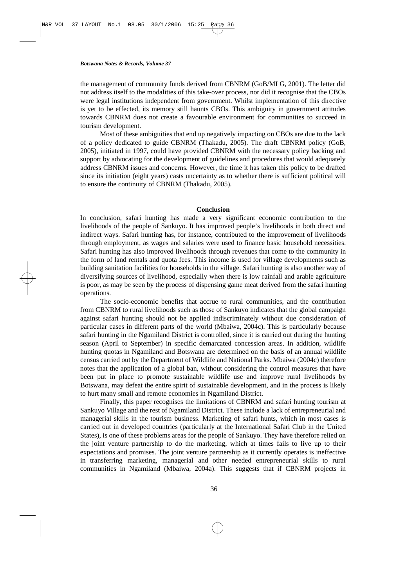the management of community funds derived from CBNRM (GoB/MLG, 2001). The letter did not address itself to the modalities of this take-over process, nor did it recognise that the CBOs were legal institutions independent from government. Whilst implementation of this directive is yet to be effected, its memory still haunts CBOs. This ambiguity in government attitudes towards CBNRM does not create a favourable environment for communities to succeed in tourism development.

Most of these ambiguities that end up negatively impacting on CBOs are due to the lack of a policy dedicated to guide CBNRM (Thakadu, 2005). The draft CBNRM policy (GoB, 2005), initiated in 1997, could have provided CBNRM with the necessary policy backing and support by advocating for the development of guidelines and procedures that would adequately address CBNRM issues and concerns. However, the time it has taken this policy to be drafted since its initiation (eight years) casts uncertainty as to whether there is sufficient political will to ensure the continuity of CBNRM (Thakadu, 2005).

# **Conclusion**

In conclusion, safari hunting has made a very significant economic contribution to the livelihoods of the people of Sankuyo. It has improved people's livelihoods in both direct and indirect ways. Safari hunting has, for instance, contributed to the improvement of livelihoods through employment, as wages and salaries were used to finance basic household necessities. Safari hunting has also improved livelihoods through revenues that come to the community in the form of land rentals and quota fees. This income is used for village developments such as building sanitation facilities for households in the village. Safari hunting is also another way of diversifying sources of livelihood, especially when there is low rainfall and arable agriculture is poor, as may be seen by the process of dispensing game meat derived from the safari hunting operations.

The socio-economic benefits that accrue to rural communities, and the contribution from CBNRM to rural livelihoods such as those of Sankuyo indicates that the global campaign against safari hunting should not be applied indiscriminately without due consideration of particular cases in different parts of the world (Mbaiwa, 2004c). This is particularly because safari hunting in the Ngamiland District is controlled, since it is carried out during the hunting season (April to September) in specific demarcated concession areas. In addition, wildlife hunting quotas in Ngamiland and Botswana are determined on the basis of an annual wildlife census carried out by the Department of Wildlife and National Parks. Mbaiwa (2004c) therefore notes that the application of a global ban, without considering the control measures that have been put in place to promote sustainable wildlife use and improve rural livelihoods by Botswana, may defeat the entire spirit of sustainable development, and in the process is likely to hurt many small and remote economies in Ngamiland District.

Finally, this paper recognises the limitations of CBNRM and safari hunting tourism at Sankuyo Village and the rest of Ngamiland District. These include a lack of entrepreneurial and managerial skills in the tourism business. Marketing of safari hunts, which in most cases is carried out in developed countries (particularly at the International Safari Club in the United States), is one of these problems areas for the people of Sankuyo. They have therefore relied on the joint venture partnership to do the marketing, which at times fails to live up to their expectations and promises. The joint venture partnership as it currently operates is ineffective in transferring marketing, managerial and other needed entrepreneurial skills to rural communities in Ngamiland (Mbaiwa, 2004a). This suggests that if CBNRM projects in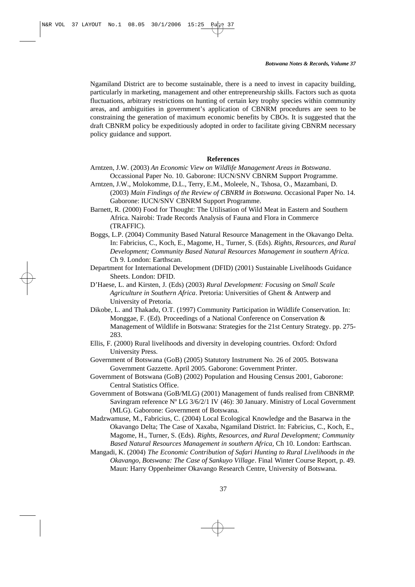Ngamiland District are to become sustainable, there is a need to invest in capacity building, particularly in marketing, management and other entrepreneurship skills. Factors such as quota fluctuations, arbitrary restrictions on hunting of certain key trophy species within community areas, and ambiguities in government's application of CBNRM procedures are seen to be constraining the generation of maximum economic benefits by CBOs. It is suggested that the draft CBNRM policy be expeditiously adopted in order to facilitate giving CBNRM necessary policy guidance and support.

### **References**

- Arntzen, J.W. (2003) *An Economic View on Wildlife Management Areas in Botswana*. Occassional Paper No. 10. Gaborone: IUCN/SNV CBNRM Support Programme.
- Arntzen, J.W., Molokomme, D.L., Terry, E.M., Moleele, N., Tshosa, O., Mazambani, D. (2003) *Main Findings of the Review of CBNRM in Botswana*. Occasional Paper No. 14. Gaborone: IUCN/SNV CBNRM Support Programme.
- Barnett, R. (2000) Food for Thought: The Utilisation of Wild Meat in Eastern and Southern Africa. Nairobi: Trade Records Analysis of Fauna and Flora in Commerce (TRAFFIC).
- Boggs, L.P. (2004) Community Based Natural Resource Management in the Okavango Delta. In: Fabricius, C., Koch, E., Magome, H., Turner, S. (Eds). *Rights, Resources, and Rural Development; Community Based Natural Resources Management in southern Africa*. Ch 9. London: Earthscan.
- Department for International Development (DFID) (2001) Sustainable Livelihoods Guidance Sheets. London: DFID.
- D'Haese, L. and Kirsten, J. (Eds) (2003) *Rural Development: Focusing on Small Scale Agriculture in Southern Africa*. Pretoria: Universities of Ghent & Antwerp and University of Pretoria.
- Dikobe, L. and Thakadu, O.T. (1997) Community Participation in Wildlife Conservation. In: Monggae, F. (Ed). Proceedings of a National Conference on Conservation  $\&$ Management of Wildlife in Botswana: Strategies for the 21st Century Strategy. pp. 275- 283.
- Ellis, F. (2000) Rural livelihoods and diversity in developing countries. Oxford: Oxford University Press.
- Government of Botswana (GoB) (2005) Statutory Instrument No. 26 of 2005. Botswana Government Gazzette. April 2005. Gaborone: Government Printer.
- Government of Botswana (GoB) (2002) Population and Housing Census 2001, Gaborone: Central Statistics Office.
- Government of Botswana (GoB/MLG) (2001) Management of funds realised from CBNRMP. Savingram reference Nº LG 3/6/2/1 IV (46): 30 January. Ministry of Local Government (MLG). Gaborone: Government of Botswana.
- Madzwamuse, M., Fabricius, C. (2004) Local Ecological Knowledge and the Basarwa in the Okavango Delta; The Case of Xaxaba, Ngamiland District. In: Fabricius, C., Koch, E., Magome, H., Turner, S. (Eds). *Rights, Resources, and Rural Development; Community Based Natural Resources Management in southern Africa,* Ch 10. London: Earthscan.

Mangadi, K. (2004) *The Economic Contribution of Safari Hunting to Rural Livelihoods in the Okavango, Botswana: The Case of Sankuyo Village*. Final Winter Course Report, p. 49. Maun: Harry Oppenheimer Okavango Research Centre, University of Botswana.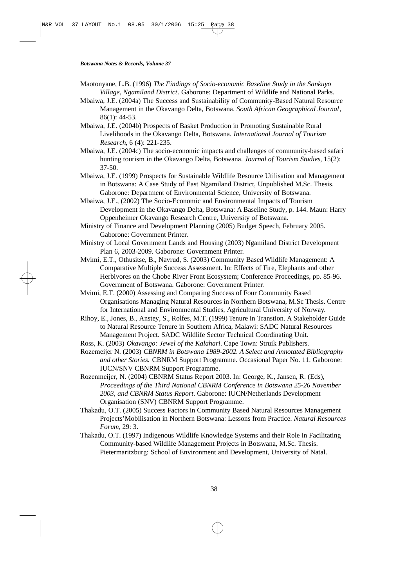Maotonyane, L.B. (1996) *The Findings of Socio-economic Baseline Study in the Sankuyo Village, Ngamiland District*. Gaborone: Department of Wildlife and National Parks.

Mbaiwa, J.E. (2004a) The Success and Sustainability of Community-Based Natural Resource Management in the Okavango Delta, Botswana. *South African Geographical Journal*, 86(1): 44-53.

Mbaiwa, J.E. (2004b) Prospects of Basket Production in Promoting Sustainable Rural Livelihoods in the Okavango Delta, Botswana. *International Journal of Tourism Research*, 6 (4): 221-235.

- Mbaiwa, J.E. (2004c) The socio-economic impacts and challenges of community-based safari hunting tourism in the Okavango Delta, Botswana. *Journal of Tourism Studies*, 15(2): 37-50.
- Mbaiwa, J.E. (1999) Prospects for Sustainable Wildlife Resource Utilisation and Management in Botswana: A Case Study of East Ngamiland District, Unpublished M.Sc. Thesis. Gaborone: Department of Environmental Science, University of Botswana.
- Mbaiwa, J.E., (2002) The Socio-Economic and Environmental Impacts of Tourism Development in the Okavango Delta, Botswana: A Baseline Study, p. 144. Maun: Harry Oppenheimer Okavango Research Centre, University of Botswana.
- Ministry of Finance and Development Planning (2005) Budget Speech, February 2005. Gaborone: Government Printer.
- Ministry of Local Government Lands and Housing (2003) Ngamiland District Development Plan 6, 2003-2009. Gaborone: Government Printer.
- Mvimi, E.T., Othusitse, B., Navrud, S. (2003) Community Based Wildlife Management: A Comparative Multiple Success Assessment. In: Effects of Fire, Elephants and other Herbivores on the Chobe River Front Ecosystem; Conference Proceedings, pp. 85-96. Government of Botswana. Gaborone: Government Printer.
- Mvimi, E.T. (2000) Assessing and Comparing Success of Four Community Based Organisations Managing Natural Resources in Northern Botswana, M.Sc Thesis. Centre for International and Environmental Studies, Agricultural University of Norway.
- Rihoy, E., Jones, B., Anstey, S., Rolfes, M.T. (1999) Tenure in Transtion. A Stakeholder Guide to Natural Resource Tenure in Southern Africa, Malawi: SADC Natural Resources Management Project. SADC Wildlife Sector Technical Coordinating Unit.
- Ross, K. (2003) *Okavango: Jewel of the Kalahari*. Cape Town: Struik Publishers.
- Rozemeijer N. (2003) *CBNRM in Botswana 1989-2002. A Select and Annotated Bibliography and other Stories.* CBNRM Support Programme. Occasional Paper No. 11. Gaborone: IUCN/SNV CBNRM Support Programme.
- Rozenmeijer, N. (2004) CBNRM Status Report 2003. In: George, K., Jansen, R. (Eds), *Proceedings of the Third National CBNRM Conference in Botswana 25-26 November 2003, and CBNRM Status Report*. Gaborone: IUCN/Netherlands Development Organisation (SNV) CBNRM Support Programme.
- Thakadu, O.T. (2005) Success Factors in Community Based Natural Resources Management Projects'Mobilisation in Northern Botswana: Lessons from Practice. *Natural Resources Forum*, 29: 3.
- Thakadu, O.T. (1997) Indigenous Wildlife Knowledge Systems and their Role in Facilitating Community-based Wildlife Management Projects in Botswana, M.Sc. Thesis. Pietermaritzburg: School of Environment and Development, University of Natal.